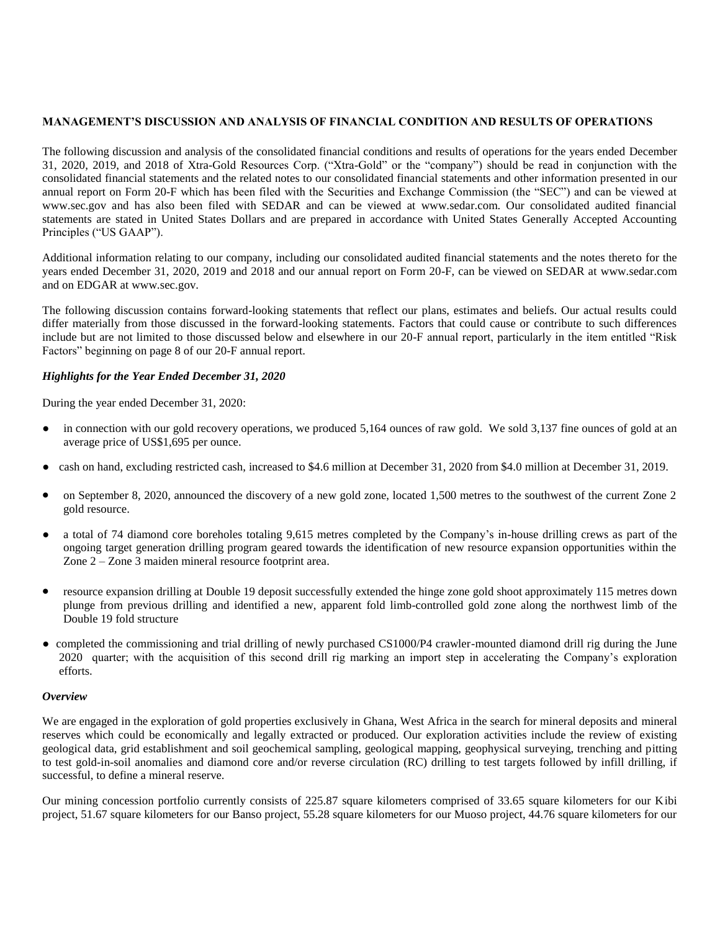### **MANAGEMENT'S DISCUSSION AND ANALYSIS OF FINANCIAL CONDITION AND RESULTS OF OPERATIONS**

The following discussion and analysis of the consolidated financial conditions and results of operations for the years ended December 31, 2020, 2019, and 2018 of Xtra-Gold Resources Corp. ("Xtra-Gold" or the "company") should be read in conjunction with the consolidated financial statements and the related notes to our consolidated financial statements and other information presented in our annual report on Form 20-F which has been filed with the Securities and Exchange Commission (the "SEC") and can be viewed at www.sec.gov and has also been filed with SEDAR and can be viewed at www.sedar.com. Our consolidated audited financial statements are stated in United States Dollars and are prepared in accordance with United States Generally Accepted Accounting Principles ("US GAAP").

Additional information relating to our company, including our consolidated audited financial statements and the notes thereto for the years ended December 31, 2020, 2019 and 2018 and our annual report on Form 20-F, can be viewed on SEDAR at [www.sedar.com](http://www.sedar.com/) and on EDGAR at [www.sec.gov.](http://www.sec.gov/)

The following discussion contains forward-looking statements that reflect our plans, estimates and beliefs. Our actual results could differ materially from those discussed in the forward-looking statements. Factors that could cause or contribute to such differences include but are not limited to those discussed below and elsewhere in our 20-F annual report, particularly in the item entitled "Risk Factors" beginning on page 8 of our 20-F annual report.

### *Highlights for the Year Ended December 31, 2020*

During the year ended December 31, 2020:

- in connection with our gold recovery operations, we produced 5,164 ounces of raw gold. We sold 3,137 fine ounces of gold at an average price of US\$1,695 per ounce.
- cash on hand, excluding restricted cash, increased to \$4.6 million at December 31, 2020 from \$4.0 million at December 31, 2019.
- on September 8, 2020, announced the discovery of a new gold zone, located 1,500 metres to the southwest of the current Zone 2 gold resource.
- a total of 74 diamond core boreholes totaling 9,615 metres completed by the Company's in-house drilling crews as part of the ongoing target generation drilling program geared towards the identification of new resource expansion opportunities within the Zone 2 – Zone 3 maiden mineral resource footprint area.
- resource expansion drilling at Double 19 deposit successfully extended the hinge zone gold shoot approximately 115 metres down plunge from previous drilling and identified a new, apparent fold limb-controlled gold zone along the northwest limb of the Double 19 fold structure
- completed the commissioning and trial drilling of newly purchased CS1000/P4 crawler-mounted diamond drill rig during the June 2020 quarter; with the acquisition of this second drill rig marking an import step in accelerating the Company's exploration efforts.

### *Overview*

We are engaged in the exploration of gold properties exclusively in Ghana, West Africa in the search for mineral deposits and mineral reserves which could be economically and legally extracted or produced. Our exploration activities include the review of existing geological data, grid establishment and soil geochemical sampling, geological mapping, geophysical surveying, trenching and pitting to test gold-in-soil anomalies and diamond core and/or reverse circulation (RC) drilling to test targets followed by infill drilling, if successful, to define a mineral reserve.

Our mining concession portfolio currently consists of 225.87 square kilometers comprised of 33.65 square kilometers for our Kibi project, 51.67 square kilometers for our Banso project, 55.28 square kilometers for our Muoso project, 44.76 square kilometers for our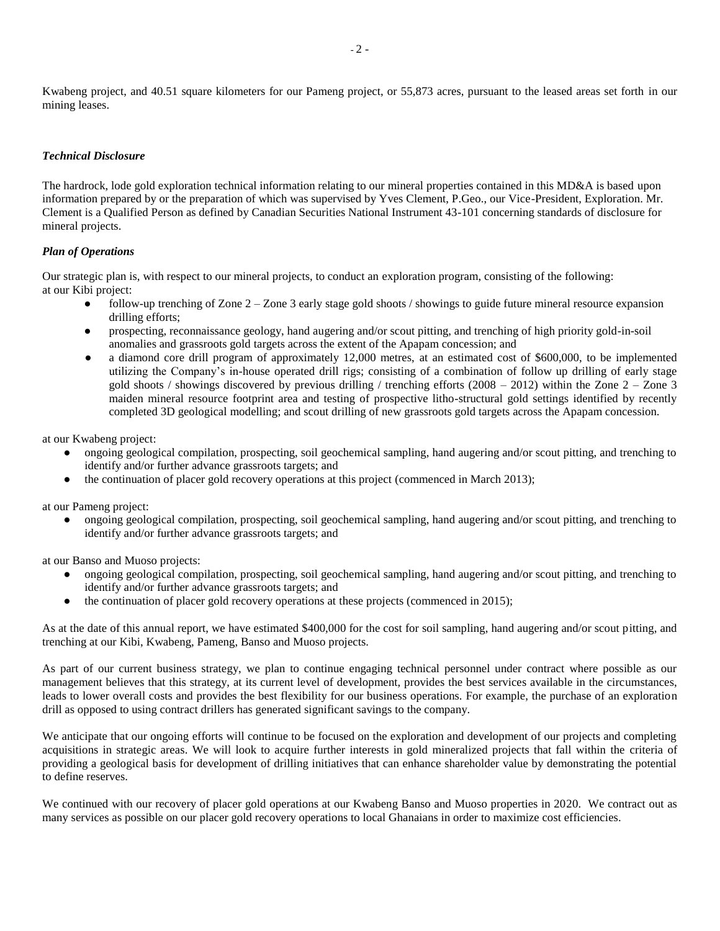Kwabeng project, and 40.51 square kilometers for our Pameng project, or 55,873 acres, pursuant to the leased areas set forth in our mining leases.

### *Technical Disclosure*

The hardrock, lode gold exploration technical information relating to our mineral properties contained in this MD&A is based upon information prepared by or the preparation of which was supervised by Yves Clement, P.Geo., our Vice-President, Exploration. Mr. Clement is a Qualified Person as defined by Canadian Securities National Instrument 43-101 concerning standards of disclosure for mineral projects.

### *Plan of Operations*

Our strategic plan is, with respect to our mineral projects, to conduct an exploration program, consisting of the following: at our Kibi project:

- follow-up trenching of Zone  $2 -$ Zone 3 early stage gold shoots / showings to guide future mineral resource expansion drilling efforts;
- prospecting, reconnaissance geology, hand augering and/or scout pitting, and trenching of high priority gold-in-soil anomalies and grassroots gold targets across the extent of the Apapam concession; and
- **●** a diamond core drill program of approximately 12,000 metres, at an estimated cost of \$600,000, to be implemented utilizing the Company's in-house operated drill rigs; consisting of a combination of follow up drilling of early stage gold shoots / showings discovered by previous drilling / trenching efforts  $(2008 - 2012)$  within the Zone 2 – Zone 3 maiden mineral resource footprint area and testing of prospective litho-structural gold settings identified by recently completed 3D geological modelling; and scout drilling of new grassroots gold targets across the Apapam concession.

at our Kwabeng project:

- **●** ongoing geological compilation, prospecting, soil geochemical sampling, hand augering and/or scout pitting, and trenching to identify and/or further advance grassroots targets; and
- the continuation of placer gold recovery operations at this project (commenced in March 2013);

at our Pameng project:

ongoing geological compilation, prospecting, soil geochemical sampling, hand augering and/or scout pitting, and trenching to identify and/or further advance grassroots targets; and

at our Banso and Muoso projects:

- **●** ongoing geological compilation, prospecting, soil geochemical sampling, hand augering and/or scout pitting, and trenching to identify and/or further advance grassroots targets; and
- the continuation of placer gold recovery operations at these projects (commenced in 2015);

As at the date of this annual report, we have estimated \$400,000 for the cost for soil sampling, hand augering and/or scout pitting, and trenching at our Kibi, Kwabeng, Pameng, Banso and Muoso projects.

As part of our current business strategy, we plan to continue engaging technical personnel under contract where possible as our management believes that this strategy, at its current level of development, provides the best services available in the circumstances, leads to lower overall costs and provides the best flexibility for our business operations. For example, the purchase of an exploration drill as opposed to using contract drillers has generated significant savings to the company.

We anticipate that our ongoing efforts will continue to be focused on the exploration and development of our projects and completing acquisitions in strategic areas. We will look to acquire further interests in gold mineralized projects that fall within the criteria of providing a geological basis for development of drilling initiatives that can enhance shareholder value by demonstrating the potential to define reserves.

We continued with our recovery of placer gold operations at our Kwabeng Banso and Muoso properties in 2020. We contract out as many services as possible on our placer gold recovery operations to local Ghanaians in order to maximize cost efficiencies.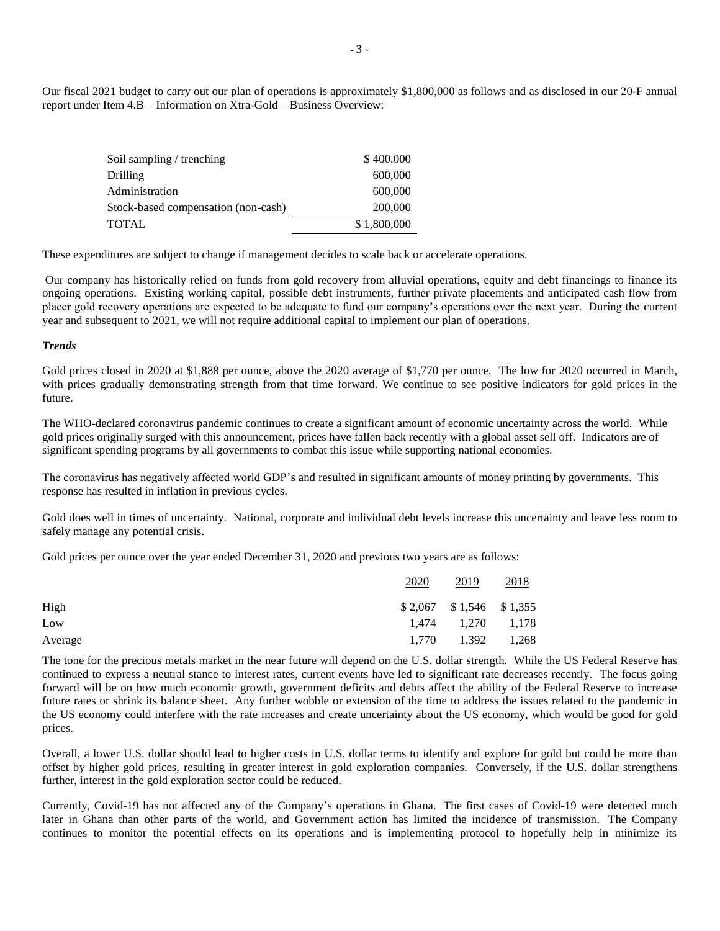Our fiscal 2021 budget to carry out our plan of operations is approximately \$1,800,000 as follows and as disclosed in our 20-F annual report under Item 4.B – Information on Xtra-Gold – Business Overview:

| Soil sampling / trenching           | \$400,000   |
|-------------------------------------|-------------|
| Drilling                            | 600,000     |
| Administration                      | 600,000     |
| Stock-based compensation (non-cash) | 200,000     |
| TOTAL                               | \$1,800,000 |

These expenditures are subject to change if management decides to scale back or accelerate operations.

Our company has historically relied on funds from gold recovery from alluvial operations, equity and debt financings to finance its ongoing operations. Existing working capital, possible debt instruments, further private placements and anticipated cash flow from placer gold recovery operations are expected to be adequate to fund our company's operations over the next year. During the current year and subsequent to 2021, we will not require additional capital to implement our plan of operations.

#### *Trends*

Gold prices closed in 2020 at \$1,888 per ounce, above the 2020 average of \$1,770 per ounce. The low for 2020 occurred in March, with prices gradually demonstrating strength from that time forward. We continue to see positive indicators for gold prices in the future.

The WHO-declared coronavirus pandemic continues to create a significant amount of economic uncertainty across the world. While gold prices originally surged with this announcement, prices have fallen back recently with a global asset sell off. Indicators are of significant spending programs by all governments to combat this issue while supporting national economies.

The coronavirus has negatively affected world GDP's and resulted in significant amounts of money printing by governments. This response has resulted in inflation in previous cycles.

Gold does well in times of uncertainty. National, corporate and individual debt levels increase this uncertainty and leave less room to safely manage any potential crisis.

Gold prices per ounce over the year ended December 31, 2020 and previous two years are as follows:

|         | 2020 | 2019                       | 2018  |
|---------|------|----------------------------|-------|
| High    |      | $$2,067$ $$1,546$ $$1,355$ |       |
| Low     |      | 1,474 1,270                | 1,178 |
| Average |      | 1,770 1,392                | 1,268 |

The tone for the precious metals market in the near future will depend on the U.S. dollar strength. While the US Federal Reserve has continued to express a neutral stance to interest rates, current events have led to significant rate decreases recently. The focus going forward will be on how much economic growth, government deficits and debts affect the ability of the Federal Reserve to increase future rates or shrink its balance sheet. Any further wobble or extension of the time to address the issues related to the pandemic in the US economy could interfere with the rate increases and create uncertainty about the US economy, which would be good for gold prices.

Overall, a lower U.S. dollar should lead to higher costs in U.S. dollar terms to identify and explore for gold but could be more than offset by higher gold prices, resulting in greater interest in gold exploration companies. Conversely, if the U.S. dollar strengthens further, interest in the gold exploration sector could be reduced.

Currently, Covid-19 has not affected any of the Company's operations in Ghana. The first cases of Covid-19 were detected much later in Ghana than other parts of the world, and Government action has limited the incidence of transmission. The Company continues to monitor the potential effects on its operations and is implementing protocol to hopefully help in minimize its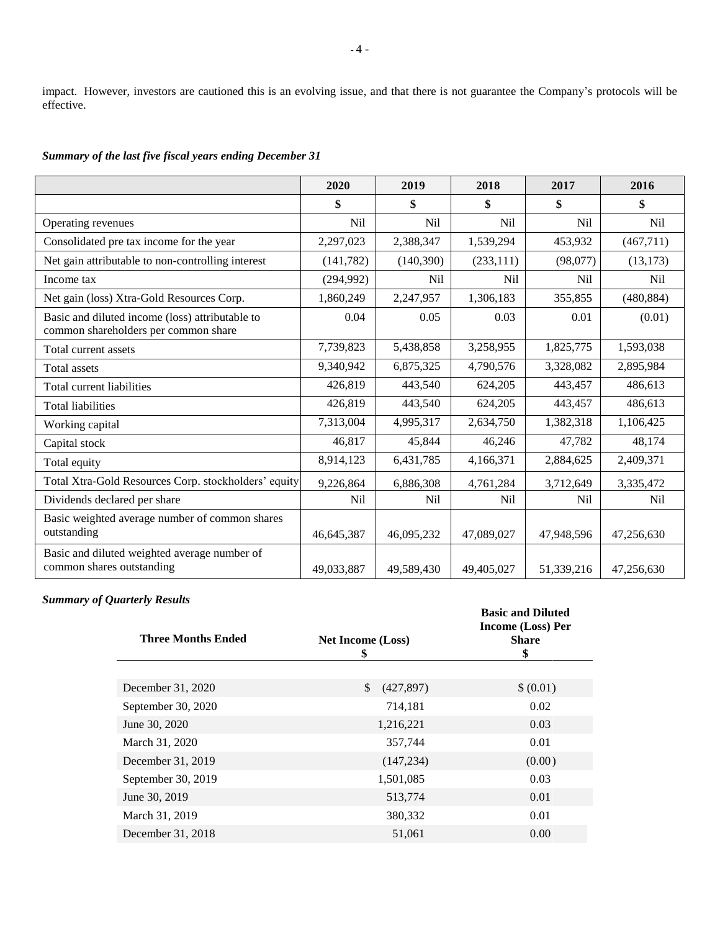impact. However, investors are cautioned this is an evolving issue, and that there is not guarantee the Company's protocols will be effective.

*Summary of the last five fiscal years ending December 31*

|                                                                                         | 2020       | 2019       | 2018            | 2017       | 2016            |
|-----------------------------------------------------------------------------------------|------------|------------|-----------------|------------|-----------------|
|                                                                                         | \$         | \$         | \$              | \$         | \$              |
| Operating revenues                                                                      | Nil        | Nil        | N <sub>il</sub> | <b>Nil</b> | N <sub>il</sub> |
| Consolidated pre tax income for the year                                                | 2,297,023  | 2,388,347  | 1,539,294       | 453,932    | (467,711)       |
| Net gain attributable to non-controlling interest                                       | (141, 782) | (140,390)  | (233, 111)      | (98,077)   | (13, 173)       |
| Income tax                                                                              | (294, 992) | Nil        | <b>Nil</b>      | <b>Nil</b> | <b>Nil</b>      |
| Net gain (loss) Xtra-Gold Resources Corp.                                               | 1,860,249  | 2,247,957  | 1,306,183       | 355,855    | (480, 884)      |
| Basic and diluted income (loss) attributable to<br>common shareholders per common share | 0.04       | 0.05       | 0.03            | 0.01       | (0.01)          |
| Total current assets                                                                    | 7,739,823  | 5,438,858  | 3,258,955       | 1,825,775  | 1,593,038       |
| Total assets                                                                            | 9,340,942  | 6,875,325  | 4,790,576       | 3,328,082  | 2,895,984       |
| Total current liabilities                                                               | 426,819    | 443,540    | 624,205         | 443,457    | 486,613         |
| <b>Total liabilities</b>                                                                | 426,819    | 443,540    | 624,205         | 443,457    | 486,613         |
| Working capital                                                                         | 7,313,004  | 4,995,317  | 2,634,750       | 1,382,318  | 1,106,425       |
| Capital stock                                                                           | 46,817     | 45,844     | 46,246          | 47,782     | 48,174          |
| Total equity                                                                            | 8,914,123  | 6,431,785  | 4,166,371       | 2,884,625  | 2,409,371       |
| Total Xtra-Gold Resources Corp. stockholders' equity                                    | 9,226,864  | 6,886,308  | 4,761,284       | 3,712,649  | 3,335,472       |
| Dividends declared per share                                                            | <b>Nil</b> | Nil        | Nil             | Nil        | N <sub>il</sub> |
| Basic weighted average number of common shares<br>outstanding                           | 46,645,387 | 46,095,232 | 47,089,027      | 47,948,596 | 47,256,630      |
| Basic and diluted weighted average number of<br>common shares outstanding               | 49,033,887 | 49,589,430 | 49,405,027      | 51,339,216 | 47,256,630      |

# *Summary of Quarterly Results*

| <b>Three Months Ended</b> | <b>Net Income (Loss)</b><br>\$ | <b>Basic and Diluted</b><br>Income (Loss) Per<br><b>Share</b><br>\$ |
|---------------------------|--------------------------------|---------------------------------------------------------------------|
|                           |                                |                                                                     |
| December 31, 2020         | \$<br>(427, 897)               | \$ (0.01)                                                           |
| September 30, 2020        | 714,181                        | 0.02                                                                |
| June 30, 2020             | 1,216,221                      | 0.03                                                                |
| March 31, 2020            | 357,744                        | 0.01                                                                |
| December 31, 2019         | (147, 234)                     | (0.00)                                                              |
| September 30, 2019        | 1,501,085                      | 0.03                                                                |
| June 30, 2019             | 513,774                        | 0.01                                                                |
| March 31, 2019            | 380,332                        | 0.01                                                                |
| December 31, 2018         | 51,061                         | 0.00                                                                |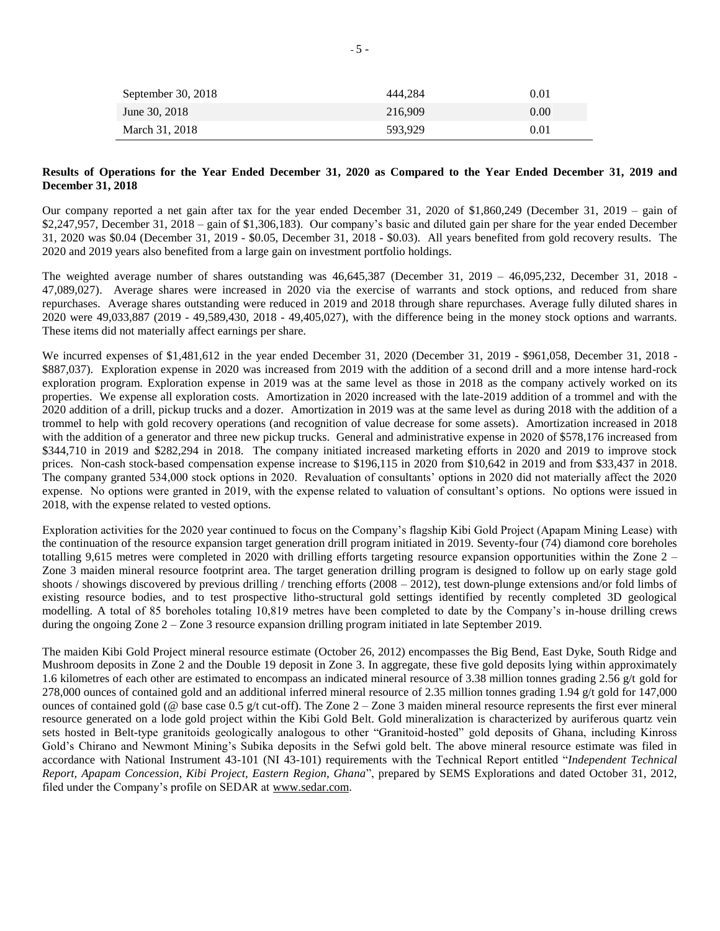| September 30, 2018 | 444.284 | 0.01 |
|--------------------|---------|------|
| June 30, 2018      | 216.909 | 0.00 |
| March 31, 2018     | 593,929 | 0.01 |

#### **Results of Operations for the Year Ended December 31, 2020 as Compared to the Year Ended December 31, 2019 and December 31, 2018**

Our company reported a net gain after tax for the year ended December 31, 2020 of \$1,860,249 (December 31, 2019 – gain of \$2,247,957, December 31, 2018 – gain of \$1,306,183). Our company's basic and diluted gain per share for the year ended December 31, 2020 was \$0.04 (December 31, 2019 - \$0.05, December 31, 2018 - \$0.03). All years benefited from gold recovery results. The 2020 and 2019 years also benefited from a large gain on investment portfolio holdings.

The weighted average number of shares outstanding was 46,645,387 (December 31, 2019 – 46,095,232, December 31, 2018 - 47,089,027). Average shares were increased in 2020 via the exercise of warrants and stock options, and reduced from share repurchases. Average shares outstanding were reduced in 2019 and 2018 through share repurchases. Average fully diluted shares in 2020 were 49,033,887 (2019 - 49,589,430, 2018 - 49,405,027), with the difference being in the money stock options and warrants. These items did not materially affect earnings per share.

We incurred expenses of \$1,481,612 in the year ended December 31, 2020 (December 31, 2019 - \$961,058, December 31, 2018 - \$887,037). Exploration expense in 2020 was increased from 2019 with the addition of a second drill and a more intense hard-rock exploration program. Exploration expense in 2019 was at the same level as those in 2018 as the company actively worked on its properties. We expense all exploration costs. Amortization in 2020 increased with the late-2019 addition of a trommel and with the 2020 addition of a drill, pickup trucks and a dozer. Amortization in 2019 was at the same level as during 2018 with the addition of a trommel to help with gold recovery operations (and recognition of value decrease for some assets). Amortization increased in 2018 with the addition of a generator and three new pickup trucks. General and administrative expense in 2020 of \$578,176 increased from \$344,710 in 2019 and \$282,294 in 2018. The company initiated increased marketing efforts in 2020 and 2019 to improve stock prices. Non-cash stock-based compensation expense increase to \$196,115 in 2020 from \$10,642 in 2019 and from \$33,437 in 2018. The company granted 534,000 stock options in 2020. Revaluation of consultants' options in 2020 did not materially affect the 2020 expense. No options were granted in 2019, with the expense related to valuation of consultant's options. No options were issued in 2018, with the expense related to vested options.

Exploration activities for the 2020 year continued to focus on the Company's flagship Kibi Gold Project (Apapam Mining Lease) with the continuation of the resource expansion target generation drill program initiated in 2019. Seventy-four (74) diamond core boreholes totalling 9,615 metres were completed in 2020 with drilling efforts targeting resource expansion opportunities within the Zone 2 – Zone 3 maiden mineral resource footprint area. The target generation drilling program is designed to follow up on early stage gold shoots / showings discovered by previous drilling / trenching efforts (2008 – 2012), test down-plunge extensions and/or fold limbs of existing resource bodies, and to test prospective litho-structural gold settings identified by recently completed 3D geological modelling. A total of 85 boreholes totaling 10,819 metres have been completed to date by the Company's in-house drilling crews during the ongoing Zone 2 – Zone 3 resource expansion drilling program initiated in late September 2019.

The maiden Kibi Gold Project mineral resource estimate (October 26, 2012) encompasses the Big Bend, East Dyke, South Ridge and Mushroom deposits in Zone 2 and the Double 19 deposit in Zone 3. In aggregate, these five gold deposits lying within approximately 1.6 kilometres of each other are estimated to encompass an indicated mineral resource of 3.38 million tonnes grading 2.56 g/t gold for 278,000 ounces of contained gold and an additional inferred mineral resource of 2.35 million tonnes grading 1.94 g/t gold for 147,000 ounces of contained gold ( $@$  base case 0.5 g/t cut-off). The Zone 2 – Zone 3 maiden mineral resource represents the first ever mineral resource generated on a lode gold project within the Kibi Gold Belt. Gold mineralization is characterized by auriferous quartz vein sets hosted in Belt-type granitoids geologically analogous to other "Granitoid-hosted" gold deposits of Ghana, including Kinross Gold's Chirano and Newmont Mining's Subika deposits in the Sefwi gold belt. The above mineral resource estimate was filed in accordance with National Instrument 43-101 (NI 43-101) requirements with the Technical Report entitled "*Independent Technical Report, Apapam Concession, Kibi Project, Eastern Region, Ghana*", prepared by SEMS Explorations and dated October 31, 2012, filed under the Company's profile on SEDAR at [www.sedar.com.](http://www.sedar.com/)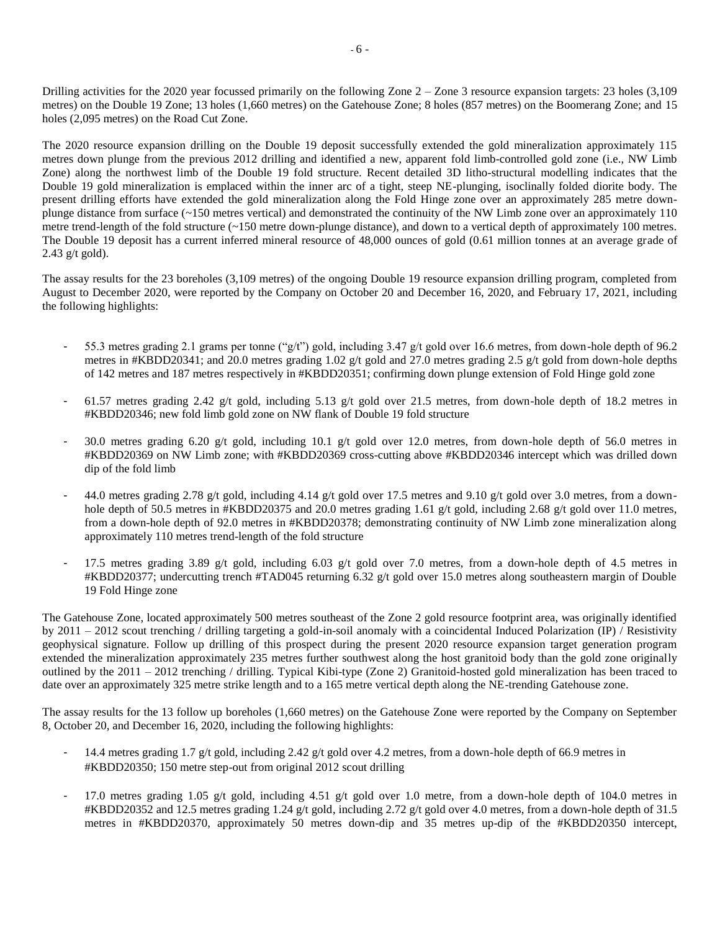Drilling activities for the 2020 year focussed primarily on the following Zone 2 – Zone 3 resource expansion targets: 23 holes (3,109 metres) on the Double 19 Zone; 13 holes (1,660 metres) on the Gatehouse Zone; 8 holes (857 metres) on the Boomerang Zone; and 15 holes (2,095 metres) on the Road Cut Zone.

The 2020 resource expansion drilling on the Double 19 deposit successfully extended the gold mineralization approximately 115 metres down plunge from the previous 2012 drilling and identified a new, apparent fold limb-controlled gold zone (i.e., NW Limb Zone) along the northwest limb of the Double 19 fold structure. Recent detailed 3D litho-structural modelling indicates that the Double 19 gold mineralization is emplaced within the inner arc of a tight, steep NE-plunging, isoclinally folded diorite body. The present drilling efforts have extended the gold mineralization along the Fold Hinge zone over an approximately 285 metre downplunge distance from surface (~150 metres vertical) and demonstrated the continuity of the NW Limb zone over an approximately 110 metre trend-length of the fold structure (~150 metre down-plunge distance), and down to a vertical depth of approximately 100 metres. The Double 19 deposit has a current inferred mineral resource of 48,000 ounces of gold (0.61 million tonnes at an average grade of 2.43 g/t gold).

The assay results for the 23 boreholes (3,109 metres) of the ongoing Double 19 resource expansion drilling program, completed from August to December 2020, were reported by the Company on October 20 and December 16, 2020, and February 17, 2021, including the following highlights:

- 55.3 metres grading 2.1 grams per tonne ("g/t") gold, including 3.47 g/t gold over 16.6 metres, from down-hole depth of 96.2 metres in #KBDD20341; and 20.0 metres grading 1.02 g/t gold and 27.0 metres grading 2.5 g/t gold from down-hole depths of 142 metres and 187 metres respectively in #KBDD20351; confirming down plunge extension of Fold Hinge gold zone
- 61.57 metres grading 2.42 g/t gold, including 5.13 g/t gold over 21.5 metres, from down-hole depth of 18.2 metres in #KBDD20346; new fold limb gold zone on NW flank of Double 19 fold structure
- 30.0 metres grading 6.20 g/t gold, including 10.1 g/t gold over 12.0 metres, from down-hole depth of 56.0 metres in #KBDD20369 on NW Limb zone; with #KBDD20369 cross-cutting above #KBDD20346 intercept which was drilled down dip of the fold limb
- 44.0 metres grading 2.78 g/t gold, including 4.14 g/t gold over 17.5 metres and 9.10 g/t gold over 3.0 metres, from a downhole depth of 50.5 metres in #KBDD20375 and 20.0 metres grading 1.61 g/t gold, including 2.68 g/t gold over 11.0 metres, from a down-hole depth of 92.0 metres in #KBDD20378; demonstrating continuity of NW Limb zone mineralization along approximately 110 metres trend-length of the fold structure
- 17.5 metres grading 3.89 g/t gold, including 6.03 g/t gold over 7.0 metres, from a down-hole depth of 4.5 metres in #KBDD20377; undercutting trench #TAD045 returning 6.32 g/t gold over 15.0 metres along southeastern margin of Double 19 Fold Hinge zone

The Gatehouse Zone, located approximately 500 metres southeast of the Zone 2 gold resource footprint area, was originally identified by 2011 – 2012 scout trenching / drilling targeting a gold-in-soil anomaly with a coincidental Induced Polarization (IP) / Resistivity geophysical signature. Follow up drilling of this prospect during the present 2020 resource expansion target generation program extended the mineralization approximately 235 metres further southwest along the host granitoid body than the gold zone originally outlined by the 2011 – 2012 trenching / drilling. Typical Kibi-type (Zone 2) Granitoid-hosted gold mineralization has been traced to date over an approximately 325 metre strike length and to a 165 metre vertical depth along the NE-trending Gatehouse zone.

The assay results for the 13 follow up boreholes (1,660 metres) on the Gatehouse Zone were reported by the Company on September 8, October 20, and December 16, 2020, including the following highlights:

- 14.4 metres grading 1.7 g/t gold, including 2.42 g/t gold over 4.2 metres, from a down-hole depth of 66.9 metres in #KBDD20350; 150 metre step-out from original 2012 scout drilling
- 17.0 metres grading 1.05 g/t gold, including 4.51 g/t gold over 1.0 metre, from a down-hole depth of 104.0 metres in #KBDD20352 and 12.5 metres grading 1.24 g/t gold, including 2.72 g/t gold over 4.0 metres, from a down-hole depth of 31.5 metres in #KBDD20370, approximately 50 metres down-dip and 35 metres up-dip of the #KBDD20350 intercept,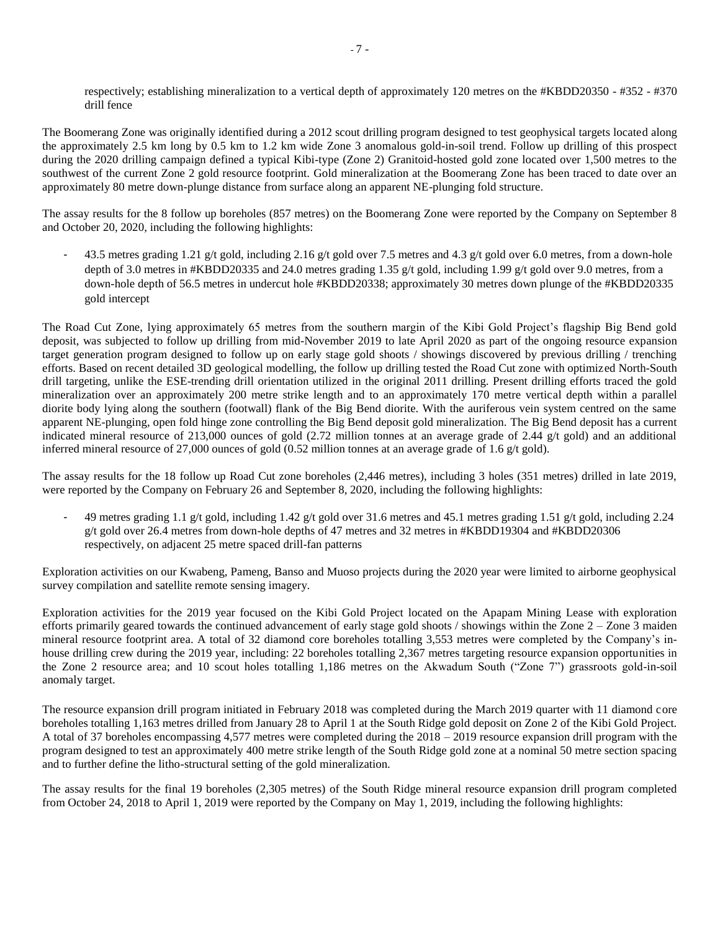respectively; establishing mineralization to a vertical depth of approximately 120 metres on the #KBDD20350 - #352 - #370 drill fence

The Boomerang Zone was originally identified during a 2012 scout drilling program designed to test geophysical targets located along the approximately 2.5 km long by 0.5 km to 1.2 km wide Zone 3 anomalous gold-in-soil trend. Follow up drilling of this prospect during the 2020 drilling campaign defined a typical Kibi-type (Zone 2) Granitoid-hosted gold zone located over 1,500 metres to the southwest of the current Zone 2 gold resource footprint. Gold mineralization at the Boomerang Zone has been traced to date over an approximately 80 metre down-plunge distance from surface along an apparent NE-plunging fold structure.

The assay results for the 8 follow up boreholes (857 metres) on the Boomerang Zone were reported by the Company on September 8 and October 20, 2020, including the following highlights:

43.5 metres grading 1.21 g/t gold, including 2.16 g/t gold over 7.5 metres and 4.3 g/t gold over 6.0 metres, from a down-hole depth of 3.0 metres in #KBDD20335 and 24.0 metres grading 1.35 g/t gold, including 1.99 g/t gold over 9.0 metres, from a down-hole depth of 56.5 metres in undercut hole #KBDD20338; approximately 30 metres down plunge of the #KBDD20335 gold intercept

The Road Cut Zone, lying approximately 65 metres from the southern margin of the Kibi Gold Project's flagship Big Bend gold deposit, was subjected to follow up drilling from mid-November 2019 to late April 2020 as part of the ongoing resource expansion target generation program designed to follow up on early stage gold shoots / showings discovered by previous drilling / trenching efforts. Based on recent detailed 3D geological modelling, the follow up drilling tested the Road Cut zone with optimized North-South drill targeting, unlike the ESE-trending drill orientation utilized in the original 2011 drilling. Present drilling efforts traced the gold mineralization over an approximately 200 metre strike length and to an approximately 170 metre vertical depth within a parallel diorite body lying along the southern (footwall) flank of the Big Bend diorite. With the auriferous vein system centred on the same apparent NE-plunging, open fold hinge zone controlling the Big Bend deposit gold mineralization. The Big Bend deposit has a current indicated mineral resource of 213,000 ounces of gold (2.72 million tonnes at an average grade of 2.44 g/t gold) and an additional inferred mineral resource of 27,000 ounces of gold (0.52 million tonnes at an average grade of 1.6 g/t gold).

The assay results for the 18 follow up Road Cut zone boreholes (2,446 metres), including 3 holes (351 metres) drilled in late 2019, were reported by the Company on February 26 and September 8, 2020, including the following highlights:

- 49 metres grading 1.1 g/t gold, including 1.42 g/t gold over 31.6 metres and 45.1 metres grading 1.51 g/t gold, including 2.24 g/t gold over 26.4 metres from down-hole depths of 47 metres and 32 metres in #KBDD19304 and #KBDD20306 respectively, on adjacent 25 metre spaced drill-fan patterns

Exploration activities on our Kwabeng, Pameng, Banso and Muoso projects during the 2020 year were limited to airborne geophysical survey compilation and satellite remote sensing imagery.

Exploration activities for the 2019 year focused on the Kibi Gold Project located on the Apapam Mining Lease with exploration efforts primarily geared towards the continued advancement of early stage gold shoots / showings within the Zone  $2 -$ Zone 3 maiden mineral resource footprint area. A total of 32 diamond core boreholes totalling 3,553 metres were completed by the Company's inhouse drilling crew during the 2019 year, including: 22 boreholes totalling 2,367 metres targeting resource expansion opportunities in the Zone 2 resource area; and 10 scout holes totalling 1,186 metres on the Akwadum South ("Zone 7") grassroots gold-in-soil anomaly target.

The resource expansion drill program initiated in February 2018 was completed during the March 2019 quarter with 11 diamond core boreholes totalling 1,163 metres drilled from January 28 to April 1 at the South Ridge gold deposit on Zone 2 of the Kibi Gold Project. A total of 37 boreholes encompassing 4,577 metres were completed during the 2018 – 2019 resource expansion drill program with the program designed to test an approximately 400 metre strike length of the South Ridge gold zone at a nominal 50 metre section spacing and to further define the litho-structural setting of the gold mineralization.

The assay results for the final 19 boreholes (2,305 metres) of the South Ridge mineral resource expansion drill program completed from October 24, 2018 to April 1, 2019 were reported by the Company on May 1, 2019, including the following highlights: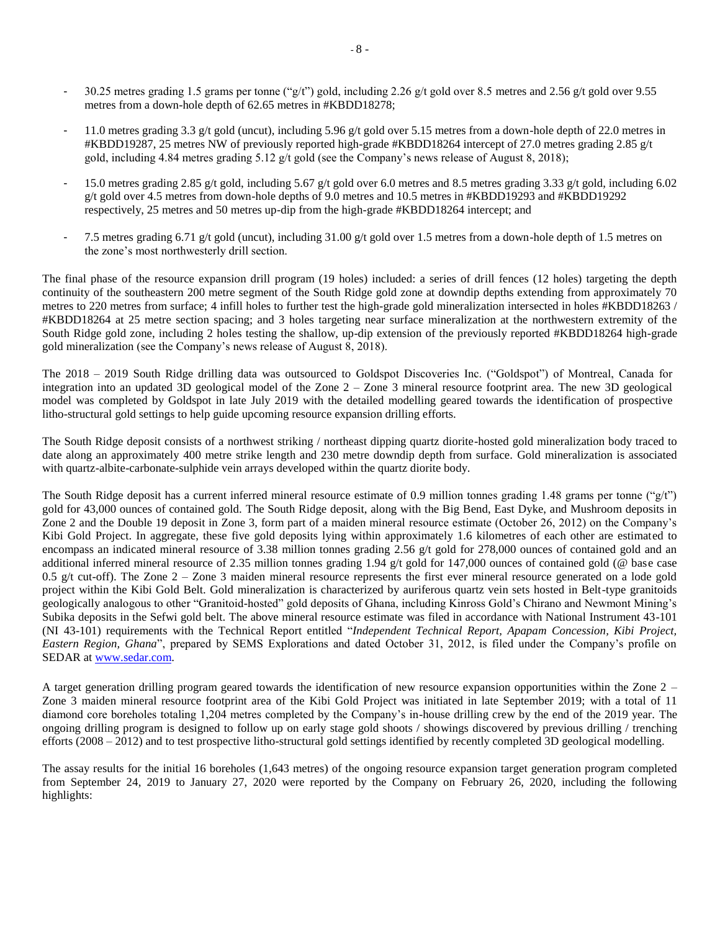- 30.25 metres grading 1.5 grams per tonne ("g/t") gold, including 2.26 g/t gold over 8.5 metres and 2.56 g/t gold over 9.55 metres from a down-hole depth of 62.65 metres in #KBDD18278;
- 11.0 metres grading 3.3 g/t gold (uncut), including 5.96 g/t gold over 5.15 metres from a down-hole depth of 22.0 metres in #KBDD19287, 25 metres NW of previously reported high-grade #KBDD18264 intercept of 27.0 metres grading 2.85 g/t gold, including 4.84 metres grading 5.12 g/t gold (see the Company's news release of August 8, 2018);
- 15.0 metres grading 2.85 g/t gold, including 5.67 g/t gold over 6.0 metres and 8.5 metres grading 3.33 g/t gold, including 6.02 g/t gold over 4.5 metres from down-hole depths of 9.0 metres and 10.5 metres in #KBDD19293 and #KBDD19292 respectively, 25 metres and 50 metres up-dip from the high-grade #KBDD18264 intercept; and
- 7.5 metres grading 6.71 g/t gold (uncut), including 31.00 g/t gold over 1.5 metres from a down-hole depth of 1.5 metres on the zone's most northwesterly drill section.

The final phase of the resource expansion drill program (19 holes) included: a series of drill fences (12 holes) targeting the depth continuity of the southeastern 200 metre segment of the South Ridge gold zone at downdip depths extending from approximately 70 metres to 220 metres from surface; 4 infill holes to further test the high-grade gold mineralization intersected in holes #KBDD18263 / #KBDD18264 at 25 metre section spacing; and 3 holes targeting near surface mineralization at the northwestern extremity of the South Ridge gold zone, including 2 holes testing the shallow, up-dip extension of the previously reported #KBDD18264 high-grade gold mineralization (see the Company's news release of August 8, 2018).

The 2018 – 2019 South Ridge drilling data was outsourced to Goldspot Discoveries Inc. ("Goldspot") of Montreal, Canada for integration into an updated 3D geological model of the Zone 2 – Zone 3 mineral resource footprint area. The new 3D geological model was completed by Goldspot in late July 2019 with the detailed modelling geared towards the identification of prospective litho-structural gold settings to help guide upcoming resource expansion drilling efforts.

The South Ridge deposit consists of a northwest striking / northeast dipping quartz diorite-hosted gold mineralization body traced to date along an approximately 400 metre strike length and 230 metre downdip depth from surface. Gold mineralization is associated with quartz-albite-carbonate-sulphide vein arrays developed within the quartz diorite body.

The South Ridge deposit has a current inferred mineral resource estimate of 0.9 million tonnes grading 1.48 grams per tonne ("g/t") gold for 43,000 ounces of contained gold. The South Ridge deposit, along with the Big Bend, East Dyke, and Mushroom deposits in Zone 2 and the Double 19 deposit in Zone 3, form part of a maiden mineral resource estimate (October 26, 2012) on the Company's Kibi Gold Project. In aggregate, these five gold deposits lying within approximately 1.6 kilometres of each other are estimated to encompass an indicated mineral resource of 3.38 million tonnes grading 2.56 g/t gold for 278,000 ounces of contained gold and an additional inferred mineral resource of 2.35 million tonnes grading 1.94 g/t gold for 147,000 ounces of contained gold (@ base case 0.5 g/t cut-off). The Zone  $2 -$  Zone 3 maiden mineral resource represents the first ever mineral resource generated on a lode gold project within the Kibi Gold Belt. Gold mineralization is characterized by auriferous quartz vein sets hosted in Belt-type granitoids geologically analogous to other "Granitoid-hosted" gold deposits of Ghana, including Kinross Gold's Chirano and Newmont Mining's Subika deposits in the Sefwi gold belt. The above mineral resource estimate was filed in accordance with National Instrument 43-101 (NI 43-101) requirements with the Technical Report entitled "*Independent Technical Report, Apapam Concession, Kibi Project, Eastern Region, Ghana*", prepared by SEMS Explorations and dated October 31, 2012, is filed under the Company's profile on SEDAR at [www.sedar.com.](http://www.sedar.com/)

A target generation drilling program geared towards the identification of new resource expansion opportunities within the Zone 2 – Zone 3 maiden mineral resource footprint area of the Kibi Gold Project was initiated in late September 2019; with a total of 11 diamond core boreholes totaling 1,204 metres completed by the Company's in-house drilling crew by the end of the 2019 year. The ongoing drilling program is designed to follow up on early stage gold shoots / showings discovered by previous drilling / trenching efforts (2008 – 2012) and to test prospective litho-structural gold settings identified by recently completed 3D geological modelling.

The assay results for the initial 16 boreholes (1,643 metres) of the ongoing resource expansion target generation program completed from September 24, 2019 to January 27, 2020 were reported by the Company on February 26, 2020, including the following highlights: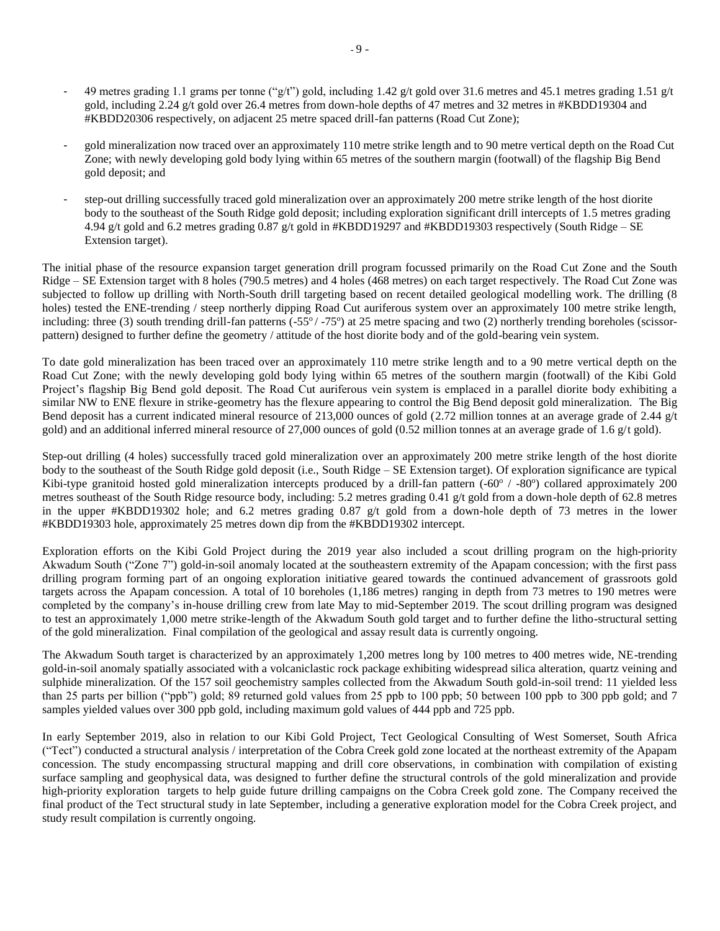- 49 metres grading 1.1 grams per tonne ("g/t") gold, including 1.42 g/t gold over 31.6 metres and 45.1 metres grading 1.51 g/t gold, including 2.24 g/t gold over 26.4 metres from down-hole depths of 47 metres and 32 metres in #KBDD19304 and #KBDD20306 respectively, on adjacent 25 metre spaced drill-fan patterns (Road Cut Zone);
- gold mineralization now traced over an approximately 110 metre strike length and to 90 metre vertical depth on the Road Cut Zone; with newly developing gold body lying within 65 metres of the southern margin (footwall) of the flagship Big Bend gold deposit; and
- step-out drilling successfully traced gold mineralization over an approximately 200 metre strike length of the host diorite body to the southeast of the South Ridge gold deposit; including exploration significant drill intercepts of 1.5 metres grading 4.94 g/t gold and 6.2 metres grading 0.87 g/t gold in #KBDD19297 and #KBDD19303 respectively (South Ridge – SE Extension target).

The initial phase of the resource expansion target generation drill program focussed primarily on the Road Cut Zone and the South Ridge – SE Extension target with 8 holes (790.5 metres) and 4 holes (468 metres) on each target respectively. The Road Cut Zone was subjected to follow up drilling with North-South drill targeting based on recent detailed geological modelling work. The drilling (8 holes) tested the ENE-trending / steep northerly dipping Road Cut auriferous system over an approximately 100 metre strike length, including: three (3) south trending drill-fan patterns (-55°/-75°) at 25 metre spacing and two (2) northerly trending boreholes (scissorpattern) designed to further define the geometry / attitude of the host diorite body and of the gold-bearing vein system.

To date gold mineralization has been traced over an approximately 110 metre strike length and to a 90 metre vertical depth on the Road Cut Zone; with the newly developing gold body lying within 65 metres of the southern margin (footwall) of the Kibi Gold Project's flagship Big Bend gold deposit. The Road Cut auriferous vein system is emplaced in a parallel diorite body exhibiting a similar NW to ENE flexure in strike-geometry has the flexure appearing to control the Big Bend deposit gold mineralization. The Big Bend deposit has a current indicated mineral resource of 213,000 ounces of gold (2.72 million tonnes at an average grade of 2.44 g/t gold) and an additional inferred mineral resource of 27,000 ounces of gold (0.52 million tonnes at an average grade of 1.6 g/t gold).

Step-out drilling (4 holes) successfully traced gold mineralization over an approximately 200 metre strike length of the host diorite body to the southeast of the South Ridge gold deposit (i.e., South Ridge – SE Extension target). Of exploration significance are typical Kibi-type granitoid hosted gold mineralization intercepts produced by a drill-fan pattern (-60° / -80°) collared approximately 200 metres southeast of the South Ridge resource body, including: 5.2 metres grading 0.41 g/t gold from a down-hole depth of 62.8 metres in the upper #KBDD19302 hole; and 6.2 metres grading 0.87 g/t gold from a down-hole depth of 73 metres in the lower #KBDD19303 hole, approximately 25 metres down dip from the #KBDD19302 intercept.

Exploration efforts on the Kibi Gold Project during the 2019 year also included a scout drilling program on the high-priority Akwadum South ("Zone 7") gold-in-soil anomaly located at the southeastern extremity of the Apapam concession; with the first pass drilling program forming part of an ongoing exploration initiative geared towards the continued advancement of grassroots gold targets across the Apapam concession. A total of 10 boreholes (1,186 metres) ranging in depth from 73 metres to 190 metres were completed by the company's in-house drilling crew from late May to mid-September 2019. The scout drilling program was designed to test an approximately 1,000 metre strike-length of the Akwadum South gold target and to further define the litho-structural setting of the gold mineralization. Final compilation of the geological and assay result data is currently ongoing.

The Akwadum South target is characterized by an approximately 1,200 metres long by 100 metres to 400 metres wide, NE-trending gold-in-soil anomaly spatially associated with a volcaniclastic rock package exhibiting widespread silica alteration, quartz veining and sulphide mineralization. Of the 157 soil geochemistry samples collected from the Akwadum South gold-in-soil trend: 11 yielded less than 25 parts per billion ("ppb") gold; 89 returned gold values from 25 ppb to 100 ppb; 50 between 100 ppb to 300 ppb gold; and 7 samples yielded values over 300 ppb gold, including maximum gold values of 444 ppb and 725 ppb.

In early September 2019, also in relation to our Kibi Gold Project, Tect Geological Consulting of West Somerset, South Africa ("Tect") conducted a structural analysis / interpretation of the Cobra Creek gold zone located at the northeast extremity of the Apapam concession. The study encompassing structural mapping and drill core observations, in combination with compilation of existing surface sampling and geophysical data, was designed to further define the structural controls of the gold mineralization and provide high-priority exploration targets to help guide future drilling campaigns on the Cobra Creek gold zone. The Company received the final product of the Tect structural study in late September, including a generative exploration model for the Cobra Creek project, and study result compilation is currently ongoing.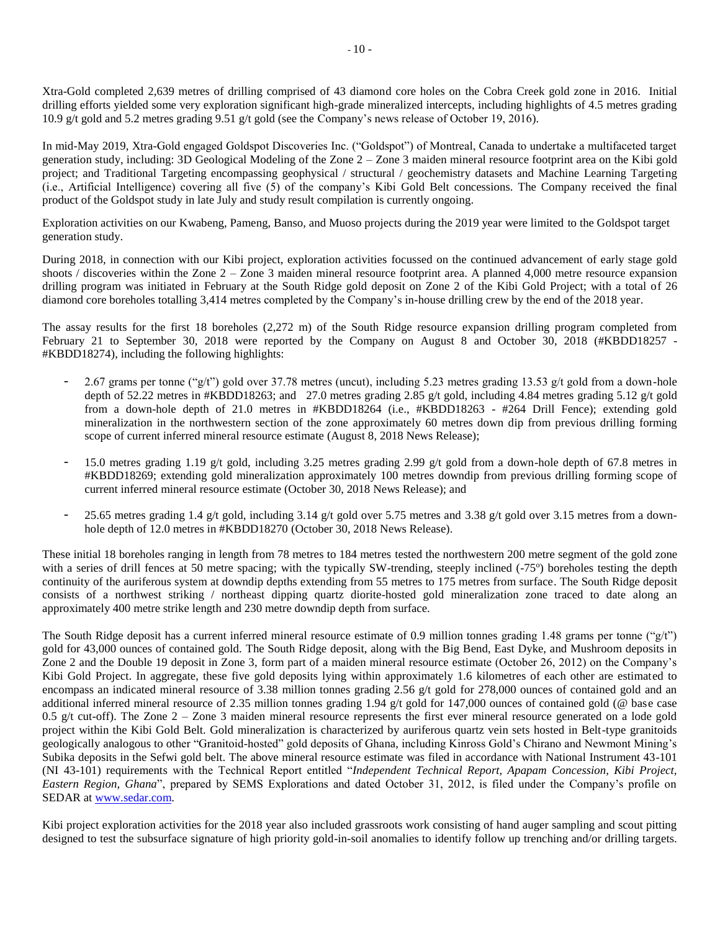Xtra-Gold completed 2,639 metres of drilling comprised of 43 diamond core holes on the Cobra Creek gold zone in 2016. Initial drilling efforts yielded some very exploration significant high-grade mineralized intercepts, including highlights of 4.5 metres grading 10.9 g/t gold and 5.2 metres grading 9.51 g/t gold (see the Company's news release of October 19, 2016).

In mid-May 2019, Xtra-Gold engaged Goldspot Discoveries Inc. ("Goldspot") of Montreal, Canada to undertake a multifaceted target generation study, including: 3D Geological Modeling of the Zone 2 – Zone 3 maiden mineral resource footprint area on the Kibi gold project; and Traditional Targeting encompassing geophysical / structural / geochemistry datasets and Machine Learning Targeting (i.e., Artificial Intelligence) covering all five (5) of the company's Kibi Gold Belt concessions. The Company received the final product of the Goldspot study in late July and study result compilation is currently ongoing.

Exploration activities on our Kwabeng, Pameng, Banso, and Muoso projects during the 2019 year were limited to the Goldspot target generation study.

During 2018, in connection with our Kibi project, exploration activities focussed on the continued advancement of early stage gold shoots / discoveries within the Zone  $2 -$ Zone 3 maiden mineral resource footprint area. A planned 4,000 metre resource expansion drilling program was initiated in February at the South Ridge gold deposit on Zone 2 of the Kibi Gold Project; with a total of 26 diamond core boreholes totalling 3,414 metres completed by the Company's in-house drilling crew by the end of the 2018 year.

The assay results for the first 18 boreholes (2,272 m) of the South Ridge resource expansion drilling program completed from February 21 to September 30, 2018 were reported by the Company on August 8 and October 30, 2018 (#KBDD18257 - #KBDD18274), including the following highlights:

- 2.67 grams per tonne ("g/t") gold over 37.78 metres (uncut), including 5.23 metres grading 13.53 g/t gold from a down-hole depth of 52.22 metres in #KBDD18263; and 27.0 metres grading 2.85 g/t gold, including 4.84 metres grading 5.12 g/t gold from a down-hole depth of 21.0 metres in #KBDD18264 (i.e., #KBDD18263 - #264 Drill Fence); extending gold mineralization in the northwestern section of the zone approximately 60 metres down dip from previous drilling forming scope of current inferred mineral resource estimate (August 8, 2018 News Release);
- 15.0 metres grading 1.19 g/t gold, including 3.25 metres grading 2.99 g/t gold from a down-hole depth of 67.8 metres in #KBDD18269; extending gold mineralization approximately 100 metres downdip from previous drilling forming scope of current inferred mineral resource estimate (October 30, 2018 News Release); and
- 25.65 metres grading 1.4 g/t gold, including 3.14 g/t gold over 5.75 metres and 3.38 g/t gold over 3.15 metres from a downhole depth of 12.0 metres in #KBDD18270 (October 30, 2018 News Release).

These initial 18 boreholes ranging in length from 78 metres to 184 metres tested the northwestern 200 metre segment of the gold zone with a series of drill fences at 50 metre spacing; with the typically SW-trending, steeply inclined (-75°) boreholes testing the depth continuity of the auriferous system at downdip depths extending from 55 metres to 175 metres from surface. The South Ridge deposit consists of a northwest striking / northeast dipping quartz diorite-hosted gold mineralization zone traced to date along an approximately 400 metre strike length and 230 metre downdip depth from surface.

The South Ridge deposit has a current inferred mineral resource estimate of 0.9 million tonnes grading 1.48 grams per tonne ("g/t") gold for 43,000 ounces of contained gold. The South Ridge deposit, along with the Big Bend, East Dyke, and Mushroom deposits in Zone 2 and the Double 19 deposit in Zone 3, form part of a maiden mineral resource estimate (October 26, 2012) on the Company's Kibi Gold Project. In aggregate, these five gold deposits lying within approximately 1.6 kilometres of each other are estimated to encompass an indicated mineral resource of 3.38 million tonnes grading 2.56 g/t gold for 278,000 ounces of contained gold and an additional inferred mineral resource of 2.35 million tonnes grading 1.94 g/t gold for 147,000 ounces of contained gold (@ base case 0.5 g/t cut-off). The Zone  $2 -$ Zone 3 maiden mineral resource represents the first ever mineral resource generated on a lode gold project within the Kibi Gold Belt. Gold mineralization is characterized by auriferous quartz vein sets hosted in Belt-type granitoids geologically analogous to other "Granitoid-hosted" gold deposits of Ghana, including Kinross Gold's Chirano and Newmont Mining's Subika deposits in the Sefwi gold belt. The above mineral resource estimate was filed in accordance with National Instrument 43-101 (NI 43-101) requirements with the Technical Report entitled "*Independent Technical Report, Apapam Concession, Kibi Project, Eastern Region, Ghana*", prepared by SEMS Explorations and dated October 31, 2012, is filed under the Company's profile on SEDAR at [www.sedar.com.](http://www.sedar.com/)

Kibi project exploration activities for the 2018 year also included grassroots work consisting of hand auger sampling and scout pitting designed to test the subsurface signature of high priority gold-in-soil anomalies to identify follow up trenching and/or drilling targets.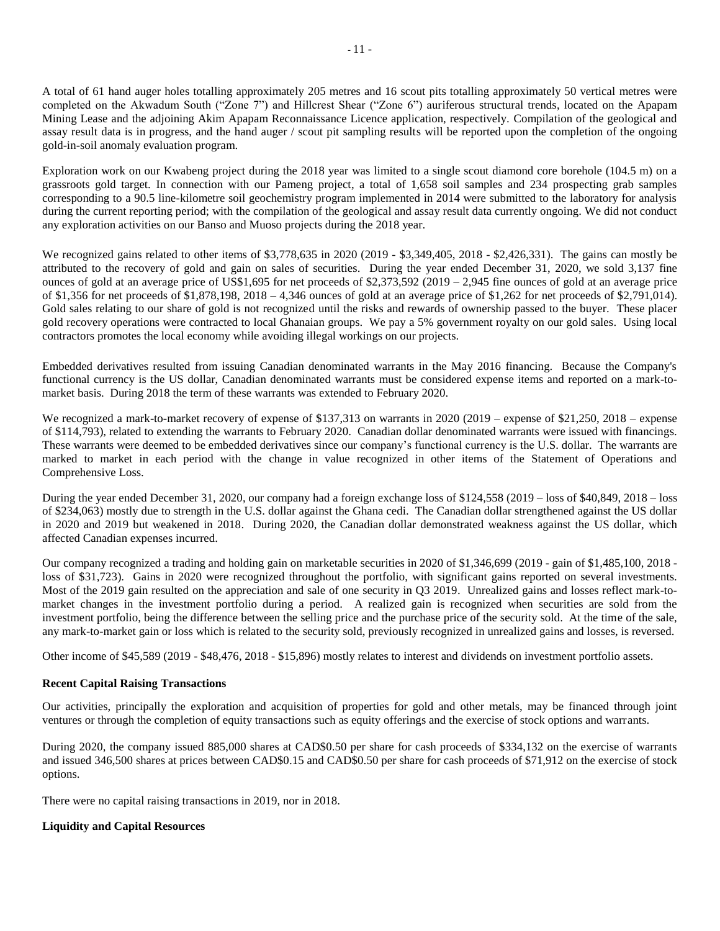A total of 61 hand auger holes totalling approximately 205 metres and 16 scout pits totalling approximately 50 vertical metres were completed on the Akwadum South ("Zone 7") and Hillcrest Shear ("Zone 6") auriferous structural trends, located on the Apapam Mining Lease and the adjoining Akim Apapam Reconnaissance Licence application, respectively. Compilation of the geological and assay result data is in progress, and the hand auger / scout pit sampling results will be reported upon the completion of the ongoing gold-in-soil anomaly evaluation program.

Exploration work on our Kwabeng project during the 2018 year was limited to a single scout diamond core borehole (104.5 m) on a grassroots gold target. In connection with our Pameng project, a total of 1,658 soil samples and 234 prospecting grab samples corresponding to a 90.5 line-kilometre soil geochemistry program implemented in 2014 were submitted to the laboratory for analysis during the current reporting period; with the compilation of the geological and assay result data currently ongoing. We did not conduct any exploration activities on our Banso and Muoso projects during the 2018 year.

We recognized gains related to other items of \$3,778,635 in 2020 (2019 - \$3,349,405, 2018 - \$2,426,331). The gains can mostly be attributed to the recovery of gold and gain on sales of securities. During the year ended December 31, 2020, we sold 3,137 fine ounces of gold at an average price of US\$1,695 for net proceeds of \$2,373,592 (2019 – 2,945 fine ounces of gold at an average price of \$1,356 for net proceeds of \$1,878,198, 2018 – 4,346 ounces of gold at an average price of \$1,262 for net proceeds of \$2,791,014). Gold sales relating to our share of gold is not recognized until the risks and rewards of ownership passed to the buyer. These placer gold recovery operations were contracted to local Ghanaian groups. We pay a 5% government royalty on our gold sales. Using local contractors promotes the local economy while avoiding illegal workings on our projects.

Embedded derivatives resulted from issuing Canadian denominated warrants in the May 2016 financing. Because the Company's functional currency is the US dollar, Canadian denominated warrants must be considered expense items and reported on a mark-tomarket basis. During 2018 the term of these warrants was extended to February 2020.

We recognized a mark-to-market recovery of expense of \$137,313 on warrants in 2020 (2019 – expense of \$21,250, 2018 – expense of \$114,793), related to extending the warrants to February 2020. Canadian dollar denominated warrants were issued with financings. These warrants were deemed to be embedded derivatives since our company's functional currency is the U.S. dollar. The warrants are marked to market in each period with the change in value recognized in other items of the Statement of Operations and Comprehensive Loss.

During the year ended December 31, 2020, our company had a foreign exchange loss of \$124,558 (2019 – loss of \$40,849, 2018 – loss of \$234,063) mostly due to strength in the U.S. dollar against the Ghana cedi. The Canadian dollar strengthened against the US dollar in 2020 and 2019 but weakened in 2018. During 2020, the Canadian dollar demonstrated weakness against the US dollar, which affected Canadian expenses incurred.

Our company recognized a trading and holding gain on marketable securities in 2020 of \$1,346,699 (2019 - gain of \$1,485,100, 2018 loss of \$31,723). Gains in 2020 were recognized throughout the portfolio, with significant gains reported on several investments. Most of the 2019 gain resulted on the appreciation and sale of one security in Q3 2019. Unrealized gains and losses reflect mark-tomarket changes in the investment portfolio during a period. A realized gain is recognized when securities are sold from the investment portfolio, being the difference between the selling price and the purchase price of the security sold. At the time of the sale, any mark-to-market gain or loss which is related to the security sold, previously recognized in unrealized gains and losses, is reversed.

Other income of \$45,589 (2019 - \$48,476, 2018 - \$15,896) mostly relates to interest and dividends on investment portfolio assets.

# **Recent Capital Raising Transactions**

Our activities, principally the exploration and acquisition of properties for gold and other metals, may be financed through joint ventures or through the completion of equity transactions such as equity offerings and the exercise of stock options and warrants.

During 2020, the company issued 885,000 shares at CAD\$0.50 per share for cash proceeds of \$334,132 on the exercise of warrants and issued 346,500 shares at prices between CAD\$0.15 and CAD\$0.50 per share for cash proceeds of \$71,912 on the exercise of stock options.

There were no capital raising transactions in 2019, nor in 2018.

### **Liquidity and Capital Resources**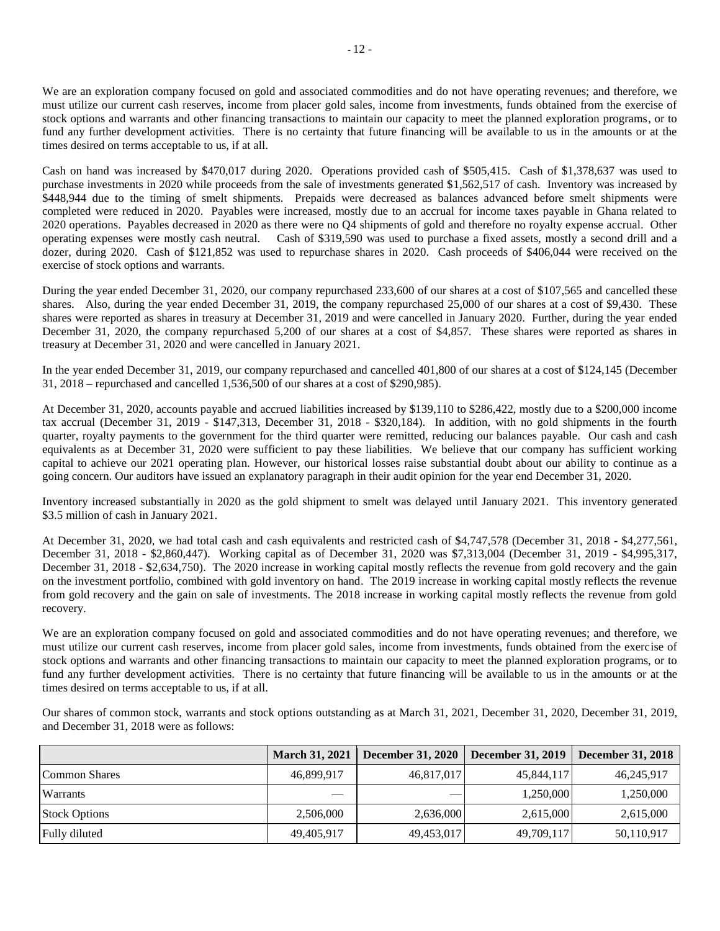We are an exploration company focused on gold and associated commodities and do not have operating revenues; and therefore, we must utilize our current cash reserves, income from placer gold sales, income from investments, funds obtained from the exercise of stock options and warrants and other financing transactions to maintain our capacity to meet the planned exploration programs, or to fund any further development activities. There is no certainty that future financing will be available to us in the amounts or at the times desired on terms acceptable to us, if at all.

Cash on hand was increased by \$470,017 during 2020. Operations provided cash of \$505,415. Cash of \$1,378,637 was used to purchase investments in 2020 while proceeds from the sale of investments generated \$1,562,517 of cash. Inventory was increased by \$448,944 due to the timing of smelt shipments. Prepaids were decreased as balances advanced before smelt shipments were completed were reduced in 2020. Payables were increased, mostly due to an accrual for income taxes payable in Ghana related to 2020 operations. Payables decreased in 2020 as there were no Q4 shipments of gold and therefore no royalty expense accrual. Other operating expenses were mostly cash neutral. Cash of \$319,590 was used to purchase a fixed assets, mostly a second drill and a dozer, during 2020. Cash of \$121,852 was used to repurchase shares in 2020. Cash proceeds of \$406,044 were received on the exercise of stock options and warrants.

During the year ended December 31, 2020, our company repurchased 233,600 of our shares at a cost of \$107,565 and cancelled these shares. Also, during the year ended December 31, 2019, the company repurchased 25,000 of our shares at a cost of \$9,430. These shares were reported as shares in treasury at December 31, 2019 and were cancelled in January 2020. Further, during the year ended December 31, 2020, the company repurchased 5,200 of our shares at a cost of \$4,857. These shares were reported as shares in treasury at December 31, 2020 and were cancelled in January 2021.

In the year ended December 31, 2019, our company repurchased and cancelled 401,800 of our shares at a cost of \$124,145 (December 31, 2018 – repurchased and cancelled 1,536,500 of our shares at a cost of \$290,985).

At December 31, 2020, accounts payable and accrued liabilities increased by \$139,110 to \$286,422, mostly due to a \$200,000 income tax accrual (December 31, 2019 - \$147,313, December 31, 2018 - \$320,184). In addition, with no gold shipments in the fourth quarter, royalty payments to the government for the third quarter were remitted, reducing our balances payable. Our cash and cash equivalents as at December 31, 2020 were sufficient to pay these liabilities. We believe that our company has sufficient working capital to achieve our 2021 operating plan. However, our historical losses raise substantial doubt about our ability to continue as a going concern. Our auditors have issued an explanatory paragraph in their audit opinion for the year end December 31, 2020.

Inventory increased substantially in 2020 as the gold shipment to smelt was delayed until January 2021. This inventory generated \$3.5 million of cash in January 2021.

At December 31, 2020, we had total cash and cash equivalents and restricted cash of \$4,747,578 (December 31, 2018 - \$4,277,561, December 31, 2018 - \$2,860,447). Working capital as of December 31, 2020 was \$7,313,004 (December 31, 2019 - \$4,995,317, December 31, 2018 - \$2,634,750). The 2020 increase in working capital mostly reflects the revenue from gold recovery and the gain on the investment portfolio, combined with gold inventory on hand. The 2019 increase in working capital mostly reflects the revenue from gold recovery and the gain on sale of investments. The 2018 increase in working capital mostly reflects the revenue from gold recovery.

We are an exploration company focused on gold and associated commodities and do not have operating revenues; and therefore, we must utilize our current cash reserves, income from placer gold sales, income from investments, funds obtained from the exercise of stock options and warrants and other financing transactions to maintain our capacity to meet the planned exploration programs, or to fund any further development activities. There is no certainty that future financing will be available to us in the amounts or at the times desired on terms acceptable to us, if at all.

Our shares of common stock, warrants and stock options outstanding as at March 31, 2021, December 31, 2020, December 31, 2019, and December 31, 2018 were as follows:

|                      | <b>March 31, 2021</b> | <b>December 31, 2020</b> | <b>December 31, 2019</b> | <b>December 31, 2018</b> |
|----------------------|-----------------------|--------------------------|--------------------------|--------------------------|
| Common Shares        | 46,899,917            | 46,817,017               | 45,844,117               | 46,245,917               |
| <b>Warrants</b>      | $-$                   |                          | 1,250,000                | 1,250,000                |
| <b>Stock Options</b> | 2,506,000             | 2,636,000                | 2,615,000                | 2,615,000                |
| Fully diluted        | 49,405,917            | 49,453,017               | 49,709,117               | 50,110,917               |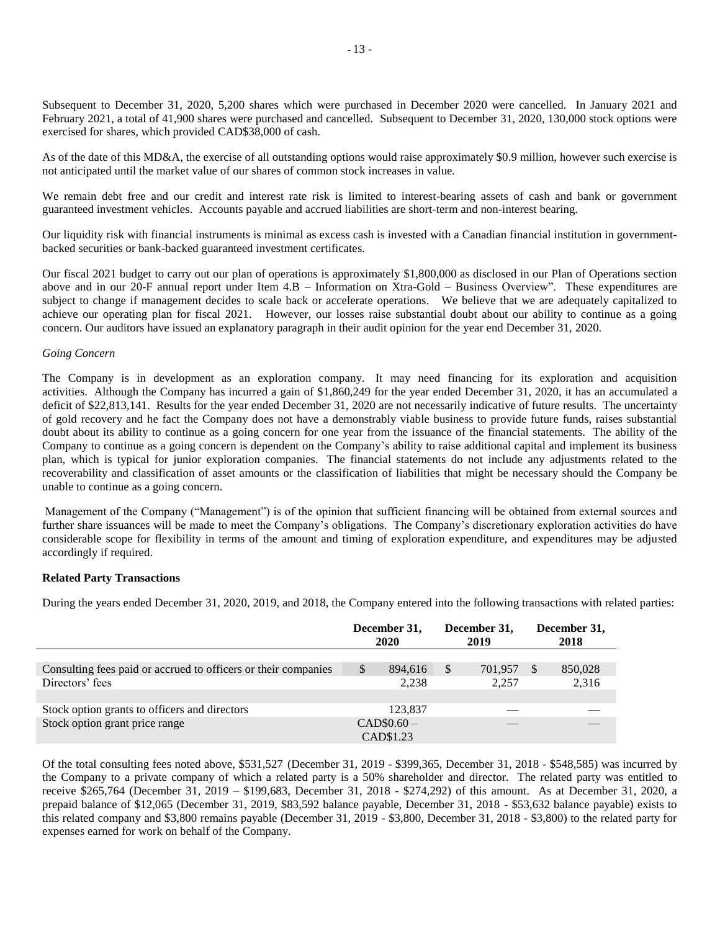Subsequent to December 31, 2020, 5,200 shares which were purchased in December 2020 were cancelled. In January 2021 and February 2021, a total of 41,900 shares were purchased and cancelled. Subsequent to December 31, 2020, 130,000 stock options were exercised for shares, which provided CAD\$38,000 of cash.

As of the date of this MD&A, the exercise of all outstanding options would raise approximately \$0.9 million, however such exercise is not anticipated until the market value of our shares of common stock increases in value.

We remain debt free and our credit and interest rate risk is limited to interest-bearing assets of cash and bank or government guaranteed investment vehicles. Accounts payable and accrued liabilities are short-term and non-interest bearing.

Our liquidity risk with financial instruments is minimal as excess cash is invested with a Canadian financial institution in governmentbacked securities or bank-backed guaranteed investment certificates.

Our fiscal 2021 budget to carry out our plan of operations is approximately \$1,800,000 as disclosed in our Plan of Operations section above and in our 20-F annual report under Item 4.B – Information on Xtra-Gold – Business Overview". These expenditures are subject to change if management decides to scale back or accelerate operations. We believe that we are adequately capitalized to achieve our operating plan for fiscal 2021. However, our losses raise substantial doubt about our ability to continue as a going concern. Our auditors have issued an explanatory paragraph in their audit opinion for the year end December 31, 2020.

#### *Going Concern*

The Company is in development as an exploration company. It may need financing for its exploration and acquisition activities. Although the Company has incurred a gain of \$1,860,249 for the year ended December 31, 2020, it has an accumulated a deficit of \$22,813,141. Results for the year ended December 31, 2020 are not necessarily indicative of future results. The uncertainty of gold recovery and he fact the Company does not have a demonstrably viable business to provide future funds, raises substantial doubt about its ability to continue as a going concern for one year from the issuance of the financial statements. The ability of the Company to continue as a going concern is dependent on the Company's ability to raise additional capital and implement its business plan, which is typical for junior exploration companies. The financial statements do not include any adjustments related to the recoverability and classification of asset amounts or the classification of liabilities that might be necessary should the Company be unable to continue as a going concern.

Management of the Company ("Management") is of the opinion that sufficient financing will be obtained from external sources and further share issuances will be made to meet the Company's obligations. The Company's discretionary exploration activities do have considerable scope for flexibility in terms of the amount and timing of exploration expenditure, and expenditures may be adjusted accordingly if required.

### **Related Party Transactions**

During the years ended December 31, 2020, 2019, and 2018, the Company entered into the following transactions with related parties:

|                                                                                   | December 31,<br>2020   | December 31,<br>2019  | December 31,<br>2018              |
|-----------------------------------------------------------------------------------|------------------------|-----------------------|-----------------------------------|
| Consulting fees paid or accrued to officers or their companies<br>Directors' fees | S<br>894.616<br>2,238  | S<br>701.957<br>2.257 | 850,028<br><sup>\$</sup><br>2,316 |
| Stock option grants to officers and directors<br>Stock option grant price range   | 123.837<br>$CAD$0.60-$ |                       |                                   |
|                                                                                   | CAD\$1.23              |                       |                                   |

Of the total consulting fees noted above, \$531,527 (December 31, 2019 - \$399,365, December 31, 2018 - \$548,585) was incurred by the Company to a private company of which a related party is a 50% shareholder and director. The related party was entitled to receive \$265,764 (December 31, 2019 – \$199,683, December 31, 2018 - \$274,292) of this amount. As at December 31, 2020, a prepaid balance of \$12,065 (December 31, 2019, \$83,592 balance payable, December 31, 2018 - \$53,632 balance payable) exists to this related company and \$3,800 remains payable (December 31, 2019 - \$3,800, December 31, 2018 - \$3,800) to the related party for expenses earned for work on behalf of the Company.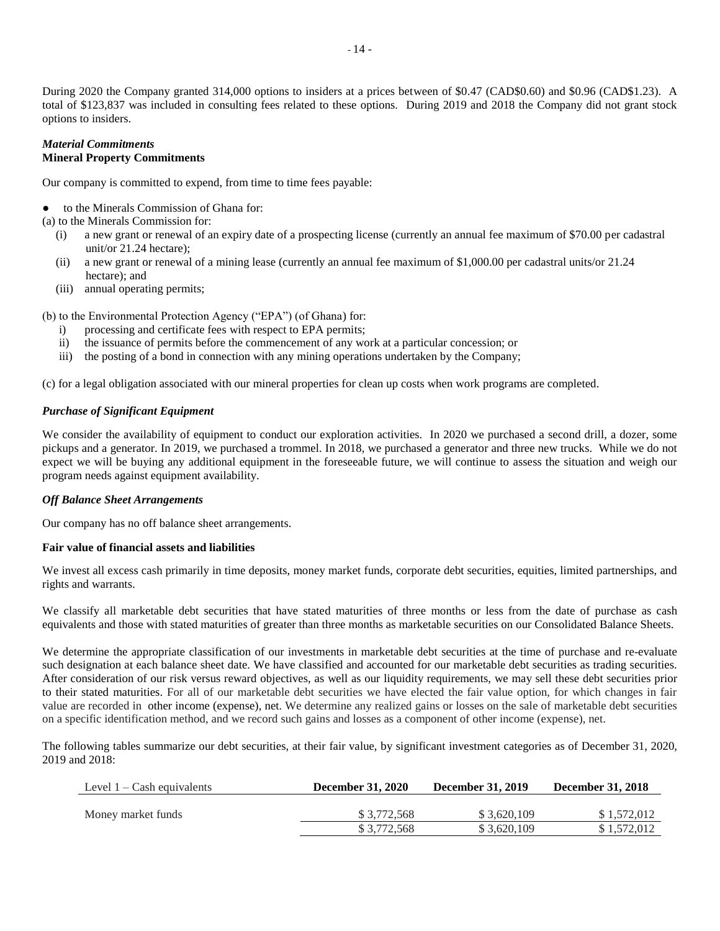During 2020 the Company granted 314,000 options to insiders at a prices between of \$0.47 (CAD\$0.60) and \$0.96 (CAD\$1.23). A total of \$123,837 was included in consulting fees related to these options. During 2019 and 2018 the Company did not grant stock options to insiders.

### *Material Commitments* **Mineral Property Commitments**

Our company is committed to expend, from time to time fees payable:

to the Minerals Commission of Ghana for:

(a) to the Minerals Commission for:

- (i) a new grant or renewal of an expiry date of a prospecting license (currently an annual fee maximum of \$70.00 per cadastral unit/or 21.24 hectare);
- (ii) a new grant or renewal of a mining lease (currently an annual fee maximum of \$1,000.00 per cadastral units/or 21.24 hectare); and
- (iii) annual operating permits;

(b) to the Environmental Protection Agency ("EPA") (of Ghana) for:

- i) processing and certificate fees with respect to EPA permits;
- ii) the issuance of permits before the commencement of any work at a particular concession; or
- iii) the posting of a bond in connection with any mining operations undertaken by the Company;

(c) for a legal obligation associated with our mineral properties for clean up costs when work programs are completed.

# *Purchase of Significant Equipment*

We consider the availability of equipment to conduct our exploration activities. In 2020 we purchased a second drill, a dozer, some pickups and a generator. In 2019, we purchased a trommel. In 2018, we purchased a generator and three new trucks. While we do not expect we will be buying any additional equipment in the foreseeable future, we will continue to assess the situation and weigh our program needs against equipment availability.

# *Off Balance Sheet Arrangements*

Our company has no off balance sheet arrangements.

# **Fair value of financial assets and liabilities**

We invest all excess cash primarily in time deposits, money market funds, corporate debt securities, equities, limited partnerships, and rights and warrants.

We classify all marketable debt securities that have stated maturities of three months or less from the date of purchase as cash equivalents and those with stated maturities of greater than three months as marketable securities on our Consolidated Balance Sheets.

We determine the appropriate classification of our investments in marketable debt securities at the time of purchase and re-evaluate such designation at each balance sheet date. We have classified and accounted for our marketable debt securities as trading securities. After consideration of our risk versus reward objectives, as well as our liquidity requirements, we may sell these debt securities prior to their stated maturities. For all of our marketable debt securities we have elected the fair value option, for which changes in fair value are recorded in other income (expense), net. We determine any realized gains or losses on the sale of marketable debt securities on a specific identification method, and we record such gains and losses as a component of other income (expense), net.

The following tables summarize our debt securities, at their fair value, by significant investment categories as of December 31, 2020, 2019 and 2018:

| Level $1 -$ Cash equivalents | <b>December 31, 2020</b> | <b>December 31, 2019</b> | <b>December 31, 2018</b> |
|------------------------------|--------------------------|--------------------------|--------------------------|
|                              |                          |                          |                          |
| Money market funds           | \$3.772.568              | \$3,620,109              | \$1,572,012              |
|                              | \$3,772,568              | \$3,620,109              | \$1,572,012              |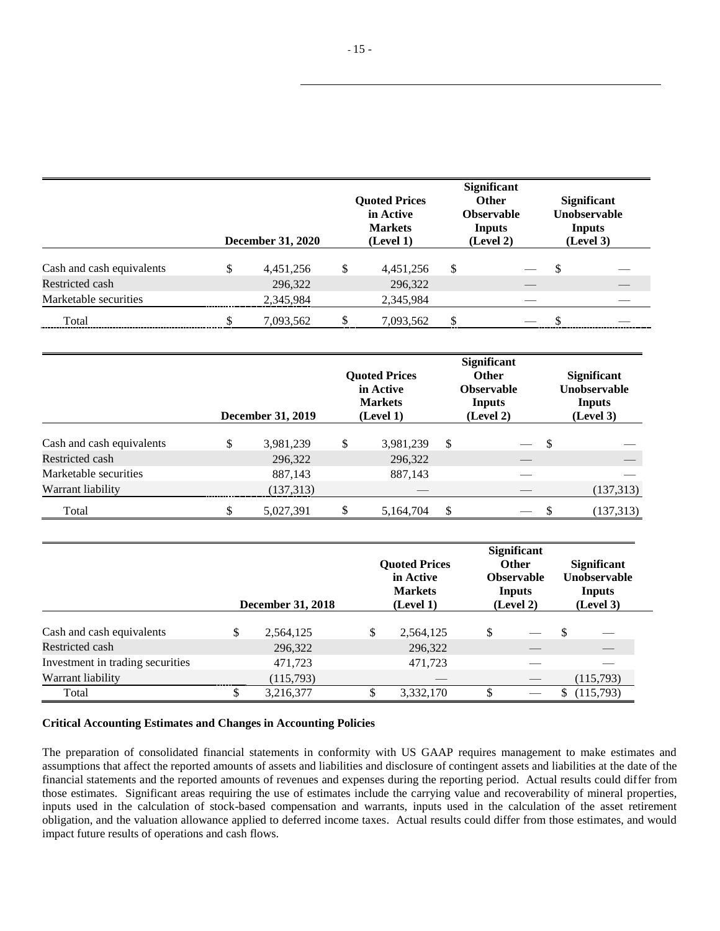|                           | <b>December 31, 2020</b> |   | <b>Quoted Prices</b><br>in Active<br><b>Markets</b><br>(Level 1) | <b>Significant</b><br><b>Other</b><br><b>Observable</b><br><b>Inputs</b><br>(Level 2) |  | <b>Significant</b><br><b>Unobservable</b><br><b>Inputs</b><br>(Level 3) |  |
|---------------------------|--------------------------|---|------------------------------------------------------------------|---------------------------------------------------------------------------------------|--|-------------------------------------------------------------------------|--|
| Cash and cash equivalents | \$<br>4,451,256          | S | 4,451,256                                                        | \$                                                                                    |  | \$                                                                      |  |
| Restricted cash           | 296,322                  |   | 296,322                                                          |                                                                                       |  |                                                                         |  |
| Marketable securities     | 2,345,984                |   | 2,345,984                                                        |                                                                                       |  |                                                                         |  |
| Total                     | 7,093,562                |   | 7,093,562                                                        | \$                                                                                    |  |                                                                         |  |

|                           | <b>Quoted Prices</b><br>in Active<br><b>Markets</b><br><b>December 31, 2019</b><br>(Level 1) |    |           | <b>Significant</b><br><b>Other</b><br><b>Observable</b><br>Inputs<br>(Level 2) |    |   | <b>Significant</b><br>Unobservable<br>Inputs<br>(Level 3) |  |
|---------------------------|----------------------------------------------------------------------------------------------|----|-----------|--------------------------------------------------------------------------------|----|---|-----------------------------------------------------------|--|
| Cash and cash equivalents | \$<br>3,981,239                                                                              | \$ | 3,981,239 | \$                                                                             |    | S |                                                           |  |
| Restricted cash           | 296,322                                                                                      |    | 296,322   |                                                                                | __ |   |                                                           |  |
| Marketable securities     | 887,143                                                                                      |    | 887,143   |                                                                                |    |   |                                                           |  |
| Warrant liability         | (137, 313)                                                                                   |    |           |                                                                                |    |   | (137,313)                                                 |  |
| Total                     | 5,027,391                                                                                    |    | 5,164,704 | \$                                                                             |    |   | (137, 313)                                                |  |

|                                  | <b>December 31, 2018</b> | <b>Ouoted Prices</b><br>in Active<br><b>Markets</b><br>(Level 1) | <b>Significant</b><br><b>Other</b><br><b>Observable</b><br>Inputs<br>(Level 2) |               | <b>Significant</b><br><b>Unobservable</b><br>Inputs<br>(Level 3) |
|----------------------------------|--------------------------|------------------------------------------------------------------|--------------------------------------------------------------------------------|---------------|------------------------------------------------------------------|
| Cash and cash equivalents        | \$<br>2,564,125          | \$<br>2,564,125                                                  | \$                                                                             | $\mathcal{S}$ |                                                                  |
| Restricted cash                  | 296,322                  | 296,322                                                          |                                                                                |               |                                                                  |
| Investment in trading securities | 471,723                  | 471,723                                                          |                                                                                |               |                                                                  |
| Warrant liability                | (115,793)                |                                                                  |                                                                                |               | (115,793)                                                        |
| Total                            | 3,216,377                | \$<br>3,332,170                                                  | \$                                                                             |               | (115,793)                                                        |

### **Critical Accounting Estimates and Changes in Accounting Policies**

The preparation of consolidated financial statements in conformity with US GAAP requires management to make estimates and assumptions that affect the reported amounts of assets and liabilities and disclosure of contingent assets and liabilities at the date of the financial statements and the reported amounts of revenues and expenses during the reporting period. Actual results could differ from those estimates. Significant areas requiring the use of estimates include the carrying value and recoverability of mineral properties, inputs used in the calculation of stock-based compensation and warrants, inputs used in the calculation of the asset retirement obligation, and the valuation allowance applied to deferred income taxes. Actual results could differ from those estimates, and would impact future results of operations and cash flows.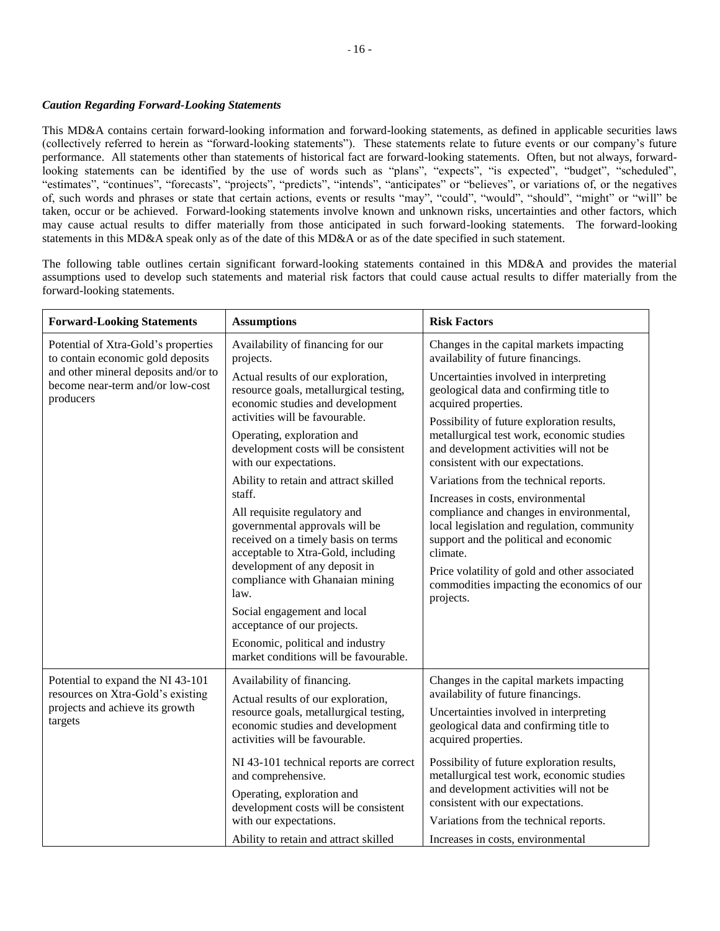### *Caution Regarding Forward-Looking Statements*

This MD&A contains certain forward-looking information and forward-looking statements, as defined in applicable securities laws (collectively referred to herein as "forward-looking statements"). These statements relate to future events or our company's future performance. All statements other than statements of historical fact are forward-looking statements. Often, but not always, forwardlooking statements can be identified by the use of words such as "plans", "expects", "is expected", "budget", "scheduled", "estimates", "continues", "forecasts", "projects", "predicts", "intends", "anticipates" or "believes", or variations of, or the negatives of, such words and phrases or state that certain actions, events or results "may", "could", "would", "should", "might" or "will" be taken, occur or be achieved. Forward-looking statements involve known and unknown risks, uncertainties and other factors, which may cause actual results to differ materially from those anticipated in such forward-looking statements. The forward-looking statements in this MD&A speak only as of the date of this MD&A or as of the date specified in such statement.

The following table outlines certain significant forward-looking statements contained in this MD&A and provides the material assumptions used to develop such statements and material risk factors that could cause actual results to differ materially from the forward-looking statements.

| <b>Forward-Looking Statements</b>                                                     | <b>Assumptions</b>                                                                                                                                                                                                                                                                                                                                                 | <b>Risk Factors</b>                                                                                                                                                                                                                                                                            |  |  |
|---------------------------------------------------------------------------------------|--------------------------------------------------------------------------------------------------------------------------------------------------------------------------------------------------------------------------------------------------------------------------------------------------------------------------------------------------------------------|------------------------------------------------------------------------------------------------------------------------------------------------------------------------------------------------------------------------------------------------------------------------------------------------|--|--|
| Potential of Xtra-Gold's properties<br>to contain economic gold deposits              | Availability of financing for our<br>projects.                                                                                                                                                                                                                                                                                                                     |                                                                                                                                                                                                                                                                                                |  |  |
| and other mineral deposits and/or to<br>become near-term and/or low-cost<br>producers | Actual results of our exploration,<br>resource goals, metallurgical testing,<br>economic studies and development                                                                                                                                                                                                                                                   | Uncertainties involved in interpreting<br>geological data and confirming title to<br>acquired properties.<br>Possibility of future exploration results,                                                                                                                                        |  |  |
|                                                                                       | activities will be favourable.<br>metallurgical test work, economic studies<br>Operating, exploration and<br>development costs will be consistent<br>and development activities will not be<br>with our expectations.<br>consistent with our expectations.                                                                                                         |                                                                                                                                                                                                                                                                                                |  |  |
|                                                                                       | Ability to retain and attract skilled<br>staff.                                                                                                                                                                                                                                                                                                                    | Variations from the technical reports.                                                                                                                                                                                                                                                         |  |  |
|                                                                                       | All requisite regulatory and<br>governmental approvals will be<br>received on a timely basis on terms<br>acceptable to Xtra-Gold, including<br>development of any deposit in<br>compliance with Ghanaian mining<br>law.<br>Social engagement and local<br>acceptance of our projects.<br>Economic, political and industry<br>market conditions will be favourable. | Increases in costs, environmental<br>compliance and changes in environmental,<br>local legislation and regulation, community<br>support and the political and economic<br>climate.<br>Price volatility of gold and other associated<br>commodities impacting the economics of our<br>projects. |  |  |
| Potential to expand the NI 43-101                                                     | Availability of financing.                                                                                                                                                                                                                                                                                                                                         | Changes in the capital markets impacting                                                                                                                                                                                                                                                       |  |  |
| resources on Xtra-Gold's existing<br>projects and achieve its growth<br>targets       | Actual results of our exploration,<br>resource goals, metallurgical testing,<br>economic studies and development<br>activities will be favourable.                                                                                                                                                                                                                 |                                                                                                                                                                                                                                                                                                |  |  |
| NI 43-101 technical reports are correct<br>and comprehensive.                         |                                                                                                                                                                                                                                                                                                                                                                    | Possibility of future exploration results,<br>metallurgical test work, economic studies                                                                                                                                                                                                        |  |  |
|                                                                                       | Operating, exploration and<br>development costs will be consistent<br>with our expectations.                                                                                                                                                                                                                                                                       | and development activities will not be<br>consistent with our expectations.<br>Variations from the technical reports.                                                                                                                                                                          |  |  |
|                                                                                       | Ability to retain and attract skilled                                                                                                                                                                                                                                                                                                                              | Increases in costs, environmental                                                                                                                                                                                                                                                              |  |  |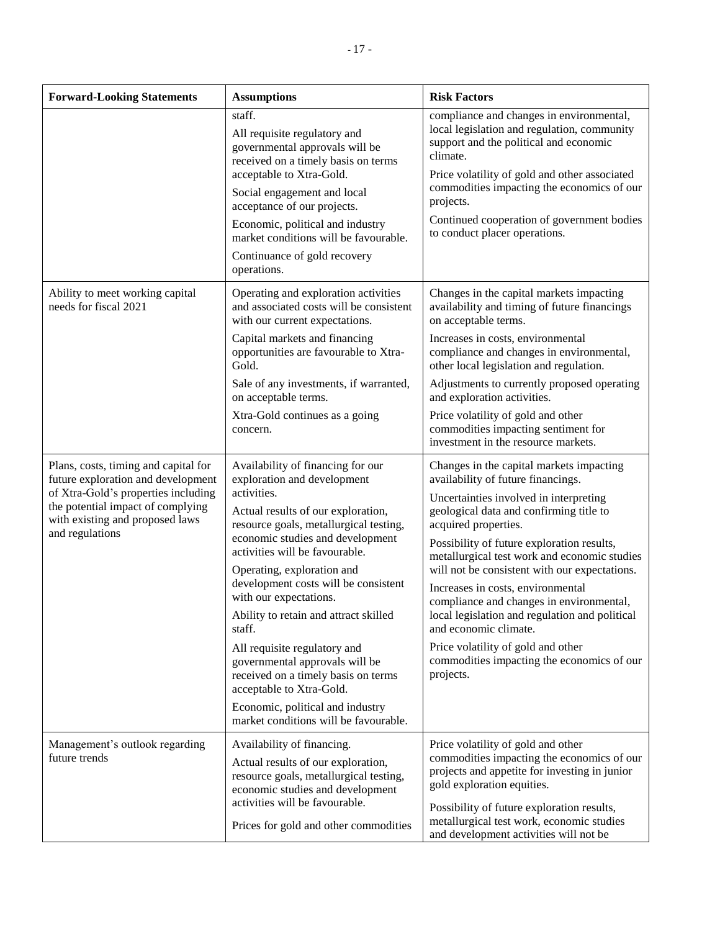| <b>Forward-Looking Statements</b>                                                                                                                                                                            | <b>Assumptions</b>                                                                                                                                                                                                                                                                                                                                                                                                                                                                                                                                                                                         | <b>Risk Factors</b>                                                                                                                                                                                                                                                                                                                                                                                                                                                                                                                                                                                     |
|--------------------------------------------------------------------------------------------------------------------------------------------------------------------------------------------------------------|------------------------------------------------------------------------------------------------------------------------------------------------------------------------------------------------------------------------------------------------------------------------------------------------------------------------------------------------------------------------------------------------------------------------------------------------------------------------------------------------------------------------------------------------------------------------------------------------------------|---------------------------------------------------------------------------------------------------------------------------------------------------------------------------------------------------------------------------------------------------------------------------------------------------------------------------------------------------------------------------------------------------------------------------------------------------------------------------------------------------------------------------------------------------------------------------------------------------------|
|                                                                                                                                                                                                              | staff.<br>All requisite regulatory and<br>governmental approvals will be<br>received on a timely basis on terms<br>acceptable to Xtra-Gold.<br>Social engagement and local<br>acceptance of our projects.<br>Economic, political and industry<br>market conditions will be favourable.<br>Continuance of gold recovery<br>operations.                                                                                                                                                                                                                                                                      | compliance and changes in environmental,<br>local legislation and regulation, community<br>support and the political and economic<br>climate.<br>Price volatility of gold and other associated<br>commodities impacting the economics of our<br>projects.<br>Continued cooperation of government bodies<br>to conduct placer operations.                                                                                                                                                                                                                                                                |
| Ability to meet working capital<br>needs for fiscal 2021                                                                                                                                                     | Operating and exploration activities<br>and associated costs will be consistent<br>with our current expectations.<br>Capital markets and financing<br>opportunities are favourable to Xtra-<br>Gold.                                                                                                                                                                                                                                                                                                                                                                                                       | Changes in the capital markets impacting<br>availability and timing of future financings<br>on acceptable terms.<br>Increases in costs, environmental<br>compliance and changes in environmental,<br>other local legislation and regulation.                                                                                                                                                                                                                                                                                                                                                            |
|                                                                                                                                                                                                              | Sale of any investments, if warranted,<br>on acceptable terms.<br>Xtra-Gold continues as a going<br>concern.                                                                                                                                                                                                                                                                                                                                                                                                                                                                                               | Adjustments to currently proposed operating<br>and exploration activities.<br>Price volatility of gold and other<br>commodities impacting sentiment for<br>investment in the resource markets.                                                                                                                                                                                                                                                                                                                                                                                                          |
| Plans, costs, timing and capital for<br>future exploration and development<br>of Xtra-Gold's properties including<br>the potential impact of complying<br>with existing and proposed laws<br>and regulations | Availability of financing for our<br>exploration and development<br>activities.<br>Actual results of our exploration,<br>resource goals, metallurgical testing,<br>economic studies and development<br>activities will be favourable.<br>Operating, exploration and<br>development costs will be consistent<br>with our expectations.<br>Ability to retain and attract skilled<br>staff.<br>All requisite regulatory and<br>governmental approvals will be<br>received on a timely basis on terms<br>acceptable to Xtra-Gold.<br>Economic, political and industry<br>market conditions will be favourable. | Changes in the capital markets impacting<br>availability of future financings.<br>Uncertainties involved in interpreting<br>geological data and confirming title to<br>acquired properties.<br>Possibility of future exploration results,<br>metallurgical test work and economic studies<br>will not be consistent with our expectations.<br>Increases in costs, environmental<br>compliance and changes in environmental,<br>local legislation and regulation and political<br>and economic climate.<br>Price volatility of gold and other<br>commodities impacting the economics of our<br>projects. |
| Management's outlook regarding<br>future trends                                                                                                                                                              | Availability of financing.<br>Actual results of our exploration,<br>resource goals, metallurgical testing,<br>economic studies and development<br>activities will be favourable.<br>Prices for gold and other commodities                                                                                                                                                                                                                                                                                                                                                                                  | Price volatility of gold and other<br>commodities impacting the economics of our<br>projects and appetite for investing in junior<br>gold exploration equities.<br>Possibility of future exploration results,<br>metallurgical test work, economic studies<br>and development activities will not be                                                                                                                                                                                                                                                                                                    |